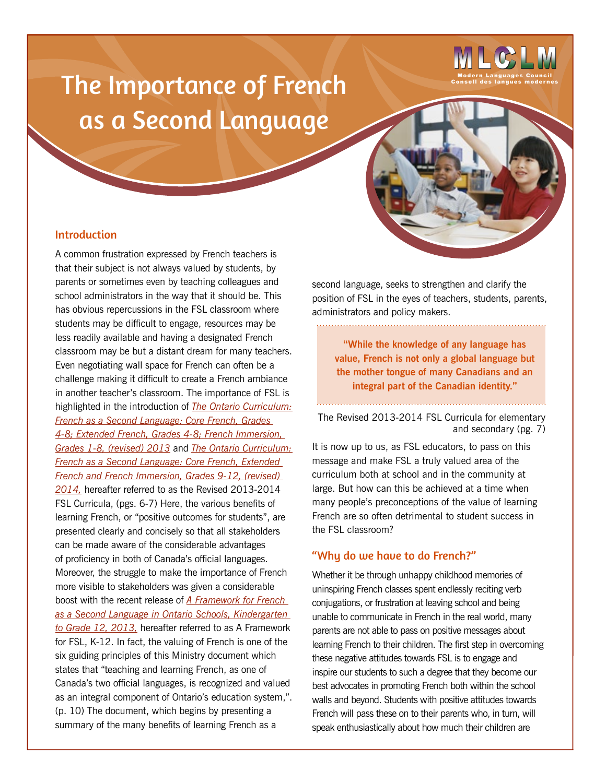# The Importance of French as a Second Language



## Introduction

A common frustration expressed by French teachers is that their subject is not always valued by students, by parents or sometimes even by teaching colleagues and school administrators in the way that it should be. This has obvious repercussions in the FSL classroom where students may be difficult to engage, resources may be less readily available and having a designated French classroom may be but a distant dream for many teachers. Even negotiating wall space for French can often be a challenge making it difficult to create a French ambiance in another teacher's classroom. The importance of FSL is highlighted in the introduction of *[The Ontario Curriculum:](http://www.edu.gov.on.ca/eng/curriculum/elementary/fsl.html)  [French as a Second Language: Core French, Grades](http://www.edu.gov.on.ca/eng/curriculum/elementary/fsl.html)  [4-8; Extended French, Grades 4-8; French Immersion,](http://www.edu.gov.on.ca/eng/curriculum/elementary/fsl.html)  [Grades 1-8, \(revised\) 2013](http://www.edu.gov.on.ca/eng/curriculum/elementary/fsl.html)* and *[The Ontario Curriculum:](http://www.edu.gov.on.ca/eng/curriculum/secondary/fsl.html)  [French as a Second Language: Core French, Extended](http://www.edu.gov.on.ca/eng/curriculum/secondary/fsl.html)  [French and French Immersion, Grades 9-12, \(revised\)](http://www.edu.gov.on.ca/eng/curriculum/secondary/fsl.html)  [2014](http://www.edu.gov.on.ca/eng/curriculum/secondary/fsl.html),* hereafter referred to as the Revised 2013-2014 FSL Curricula, (pgs. 6-7) Here, the various benefits of learning French, or "positive outcomes for students", are presented clearly and concisely so that all stakeholders can be made aware of the considerable advantages of proficiency in both of Canada's official languages. Moreover, the struggle to make the importance of French more visible to stakeholders was given a considerable boost with the recent release of *[A Framework for French](http://www.edu.gov.on.ca/eng/amenagement/FLS.html)  [as a Second Language in Ontario Schools, Kindergarten](http://www.edu.gov.on.ca/eng/amenagement/FLS.html)  [to Grade 12, 2013,](http://www.edu.gov.on.ca/eng/amenagement/FLS.html)* hereafter referred to as A Framework for FSL, K-12. In fact, the valuing of French is one of the six guiding principles of this Ministry document which states that "teaching and learning French, as one of Canada's two official languages, is recognized and valued as an integral component of Ontario's education system,". (p. 10) The document, which begins by presenting a summary of the many benefits of learning French as a

second language, seeks to strengthen and clarify the position of FSL in the eyes of teachers, students, parents, administrators and policy makers.

**"While the knowledge of any language has value, French is not only a global language but the mother tongue of many Canadians and an integral part of the Canadian identity."** 

[The Revised 2013-2014 FSL Curricula for elementary](http://www.edu.gov.on.ca/eng/curriculum/elementary/fsl.html) and [secondary](http://www.edu.gov.on.ca/eng/curriculum/secondary/fsl.html) [\(pg. 7\)](http://www.edu.gov.on.ca/eng/curriculum/elementary/fsl.html)

It is now up to us, as FSL educators, to pass on this message and make FSL a truly valued area of the curriculum both at school and in the community at large. But how can this be achieved at a time when many people's preconceptions of the value of learning French are so often detrimental to student success in the FSL classroom?

#### "Why do we have to do French?"

Whether it be through unhappy childhood memories of uninspiring French classes spent endlessly reciting verb conjugations, or frustration at leaving school and being unable to communicate in French in the real world, many parents are not able to pass on positive messages about learning French to their children. The first step in overcoming these negative attitudes towards FSL is to engage and inspire our students to such a degree that they become our best advocates in promoting French both within the school walls and beyond. Students with positive attitudes towards French will pass these on to their parents who, in turn, will speak enthusiastically about how much their children are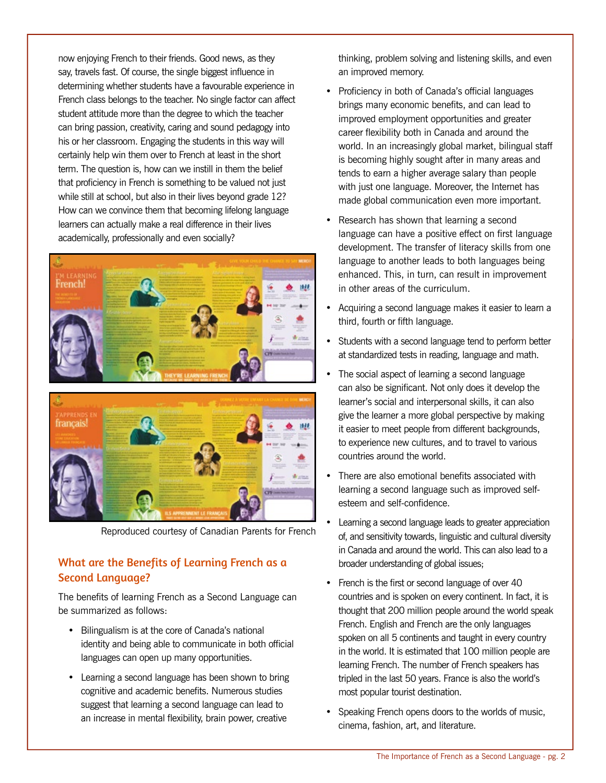now enjoying French to their friends. Good news, as they say, travels fast. Of course, the single biggest influence in determining whether students have a favourable experience in French class belongs to the teacher. No single factor can affect student attitude more than the degree to which the teacher can bring passion, creativity, caring and sound pedagogy into his or her classroom. Engaging the students in this way will certainly help win them over to French at least in the short term. The question is, how can we instill in them the belief that proficiency in French is something to be valued not just while still at school, but also in their lives beyond grade 12? How can we convince them that becoming lifelong language learners can actually make a real difference in their lives academically, professionally and even socially?





[Reproduced courtesy of Canadian Parents for French](http://on.cpf.ca)

## What are the Benefits of Learning French as a Second Language?

The benefits of learning French as a Second Language can be summarized as follows:

- Bilingualism is at the core of Canada's national identity and being able to communicate in both official languages can open up many opportunities.
- Learning a second language has been shown to bring cognitive and academic benefits. Numerous studies suggest that learning a second language can lead to an increase in mental flexibility, brain power, creative

thinking, problem solving and listening skills, and even an improved memory.

- Proficiency in both of Canada's official languages brings many economic benefits, and can lead to improved employment opportunities and greater career flexibility both in Canada and around the world. In an increasingly global market, bilingual staff is becoming highly sought after in many areas and tends to earn a higher average salary than people with just one language. Moreover, the Internet has made global communication even more important.
- Research has shown that learning a second language can have a positive effect on first language development. The transfer of literacy skills from one language to another leads to both languages being enhanced. This, in turn, can result in improvement in other areas of the curriculum.
- Acquiring a second language makes it easier to learn a third, fourth or fifth language.
- Students with a second language tend to perform better at standardized tests in reading, language and math.
- The social aspect of learning a second language can also be significant. Not only does it develop the learner's social and interpersonal skills, it can also give the learner a more global perspective by making it easier to meet people from different backgrounds, to experience new cultures, and to travel to various countries around the world.
- There are also emotional benefits associated with learning a second language such as improved selfesteem and self-confidence.
- Learning a second language leads to greater appreciation of, and sensitivity towards, linguistic and cultural diversity in Canada and around the world. This can also lead to a broader understanding of global issues;
- French is the first or second language of over 40 countries and is spoken on every continent. In fact, it is thought that 200 million people around the world speak French. English and French are the only languages spoken on all 5 continents and taught in every country in the world. It is estimated that 100 million people are learning French. The number of French speakers has tripled in the last 50 years. France is also the world's most popular tourist destination.
- Speaking French opens doors to the worlds of music, cinema, fashion, art, and literature.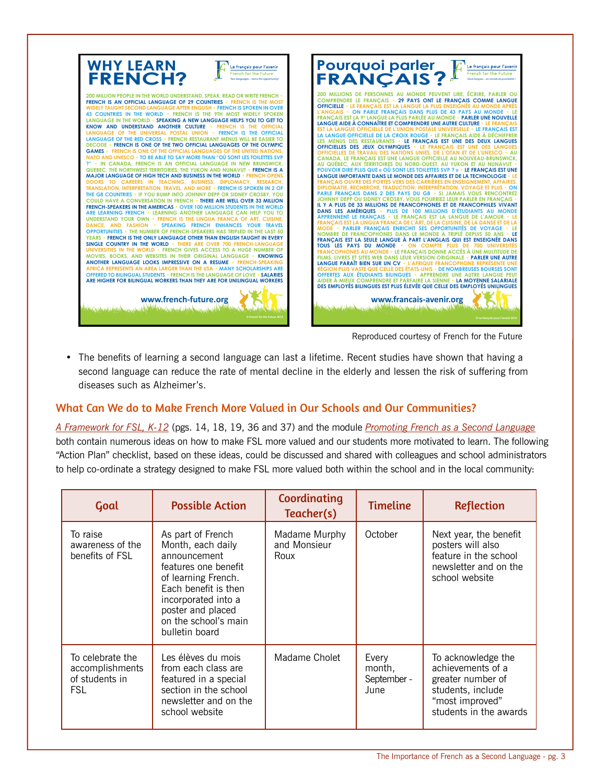

• The benefits of learning a second language can last a lifetime. Recent studies have shown that having a second language can reduce the rate of mental decline in the elderly and lessen the risk of suffering from diseases such as Alzheimer's.

## What Can We do to Make French More Valued in Our Schools and Our Communities?

*[A Framework for FSL, K-12](http://www.edu.gov.on.ca/eng/amenagement/FLS.html)* (pgs. 14, 18, 19, 36 and 37) and the module *[Promoting French as a Second Language](http://omlta.org/wp-content/uploads/MLC/Promoting_French_as_a_Second_Language_FINAL.pdf)* both contain numerous ideas on how to make FSL more valued and our students more motivated to learn. The following "Action Plan" checklist, based on these ideas, could be discussed and shared with colleagues and school administrators to help co-ordinate a strategy designed to make FSL more valued both within the school and in the local community:

| Goal                                                                | <b>Possible Action</b>                                                                                                                                                                                              | Coordinating<br>Teacher(s)            | <b>Timeline</b>                        | <b>Reflection</b>                                                                                                              |
|---------------------------------------------------------------------|---------------------------------------------------------------------------------------------------------------------------------------------------------------------------------------------------------------------|---------------------------------------|----------------------------------------|--------------------------------------------------------------------------------------------------------------------------------|
| To raise<br>awareness of the<br>benefits of FSL                     | As part of French<br>Month, each daily<br>announcement<br>features one benefit<br>of learning French.<br>Each benefit is then<br>incorporated into a<br>poster and placed<br>on the school's main<br>bulletin board | Madame Murphy<br>and Monsieur<br>Roux | October                                | Next year, the benefit<br>posters will also<br>feature in the school<br>newsletter and on the<br>school website                |
| To celebrate the<br>accomplishments<br>of students in<br><b>FSL</b> | Les élèves du mois<br>from each class are<br>featured in a special<br>section in the school<br>newsletter and on the<br>school website                                                                              | Madame Cholet                         | Every<br>month,<br>September -<br>June | To acknowledge the<br>achievements of a<br>greater number of<br>students, include<br>"most improved"<br>students in the awards |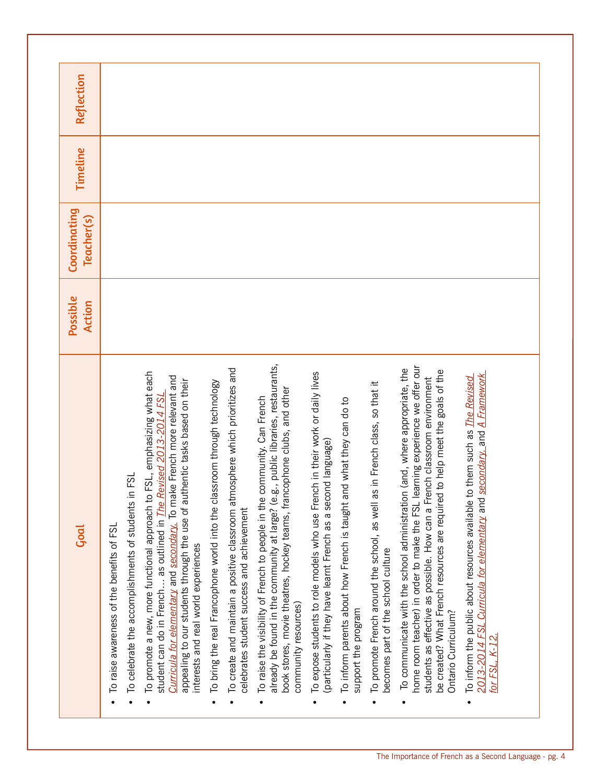| Goal                                                                                                                                                                                                                                                                                                                                                       | Possible<br>Action | Coordinating<br>Teacher(s) | Timeline | Reflection |
|------------------------------------------------------------------------------------------------------------------------------------------------------------------------------------------------------------------------------------------------------------------------------------------------------------------------------------------------------------|--------------------|----------------------------|----------|------------|
| ESL<br>To celebrate the accomplishments of students in<br>To raise awareness of the benefits of FSL                                                                                                                                                                                                                                                        |                    |                            |          |            |
| FSL, emphasizing what each<br>Curricula for elementary and secondary. To make French more relevant and<br>appealing to our students through the use of authentic tasks based on their<br>student can do in French as outlined in <i>The Revised 2013-2014 FSL</i><br>To promote a new, more functional approach to<br>interests and real world experiences |                    |                            |          |            |
| To create and maintain a positive classroom atmosphere which prioritizes and<br>To bring the real Francophone world into the classroom through technology<br>celebrates student success and achievement                                                                                                                                                    |                    |                            |          |            |
| already be found in the community at large? (e.g., public libraries, restaurants,<br>book stores, movie theatres, hockey teams, francophone clubs, and other<br>To raise the visibility of French to people in the community. Can French<br>community resources)                                                                                           |                    |                            |          |            |
| To expose students to role models who use French in their work or daily lives<br>(particularly if they have learnt French as a second language)                                                                                                                                                                                                            |                    |                            |          |            |
| To inform parents about how French is taught and what they can do to<br>support the program                                                                                                                                                                                                                                                                |                    |                            |          |            |
| To promote French around the school, as well as in French class, so that it<br>becomes part of the school culture                                                                                                                                                                                                                                          |                    |                            |          |            |
| home room teacher) in order to make the FSL learning experience we offer our<br>To communicate with the school administration (and, where appropriate, the<br>to help meet the goals of the<br>students as effective as possible. How can a French classroom environment<br>be created? What French resources are required<br>Ontario Curriculum?          |                    |                            |          |            |
| 2013-2014 FSL Curricula for elementary and secondary, and A Framework<br>To inform the public about resources available to them such as The Revised<br>for FSL, K-12.                                                                                                                                                                                      |                    |                            |          |            |